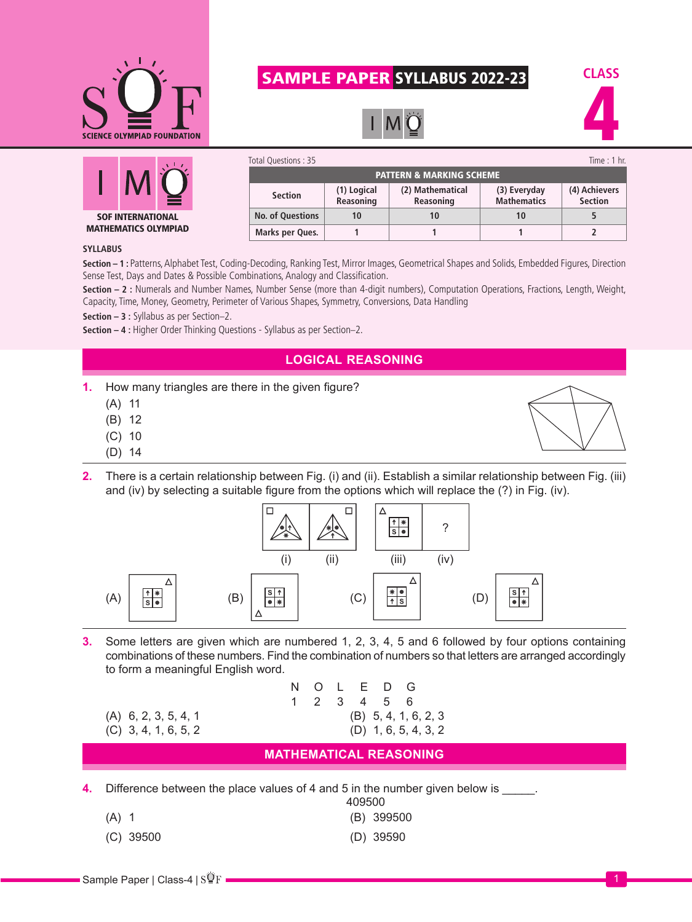

## SAMPLE PAPER SYLLABUS 2022-23







| Total Questions: 35<br>Time: 1 hr.  |                          |                               |                                    |                                 |  |  |
|-------------------------------------|--------------------------|-------------------------------|------------------------------------|---------------------------------|--|--|
| <b>PATTERN &amp; MARKING SCHEME</b> |                          |                               |                                    |                                 |  |  |
| <b>Section</b>                      | (1) Logical<br>Reasoning | (2) Mathematical<br>Reasoning | (3) Everyday<br><b>Mathematics</b> | (4) Achievers<br><b>Section</b> |  |  |
| <b>No. of Questions</b>             | 10                       | 10                            | 10                                 |                                 |  |  |
| Marks per Ques.                     |                          |                               |                                    |                                 |  |  |

## **SYLLABUS**

**Section – 1 :** Patterns, Alphabet Test, Coding-Decoding, Ranking Test, Mirror Images, Geometrical Shapes and Solids, Embedded Figures, Direction Sense Test, Days and Dates & Possible Combinations, Analogy and Classification.

**Section – 2 :** Numerals and Number Names, Number Sense (more than 4-digit numbers), Computation Operations, Fractions, Length, Weight, Capacity, Time, Money, Geometry, Perimeter of Various Shapes, Symmetry, Conversions, Data Handling

**Section – 3 :** Syllabus as per Section–2.

**Section – 4 :** Higher Order Thinking Questions - Syllabus as per Section–2.

## **LOGICAL REASONING**

**1.** How many triangles are there in the given figure?

- (A) 11
- (B) 12
- (C) 10
- (D) 14
- **2.** There is a certain relationship between Fig. (i) and (ii). Establish a similar relationship between Fig. (iii) and (iv) by selecting a suitable figure from the options which will replace the (?) in Fig. (iv).



**3.** Some letters are given which are numbered 1, 2, 3, 4, 5 and 6 followed by four options containing combinations of these numbers. Find the combination of numbers so that letters are arranged accordingly to form a meaningful English word.

| 6, 2, 3, 5, 4, 1 |  |
|------------------|--|
| 3, 4, 1, 6, 5, 2 |  |

|                        |  |  |  | N O L E D G            |  |  |
|------------------------|--|--|--|------------------------|--|--|
|                        |  |  |  | 1 2 3 4 5 6            |  |  |
| $(A)$ 6, 2, 3, 5, 4, 1 |  |  |  | $(B)$ 5, 4, 1, 6, 2, 3 |  |  |
| $(C)$ 3, 4, 1, 6, 5, 2 |  |  |  | $(D)$ 1, 6, 5, 4, 3, 2 |  |  |

## **MATHEMATICAL REASONING**

**4.** Difference between the place values of 4 and 5 in the number given below is \_\_\_\_\_.

- (B) 399500
- (C) 39500 (D) 39590

409500